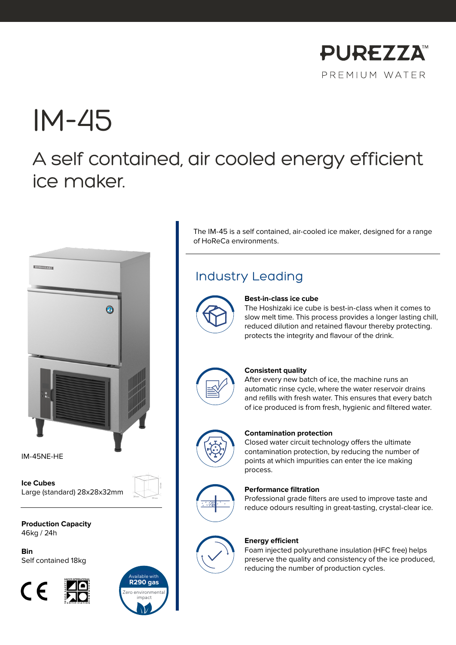

# IM-45

# A self contained, air cooled energy efficient ice maker.



IM-45NE-HE

**Ice Cubes** Large (standard) 28x28x32mm

**Production Capacity** 46kg / 24h

**Bin** Self contained 18kg





The IM-45 is a self contained, air-cooled ice maker, designed for a range of HoReCa environments.

### Industry Leading



#### **Best-in-class ice cube**

The Hoshizaki ice cube is best-in-class when it comes to slow melt time. This process provides a longer lasting chill, reduced dilution and retained flavour thereby protecting. protects the integrity and flavour of the drink.



#### **Consistent quality**

After every new batch of ice, the machine runs an automatic rinse cycle, where the water reservoir drains and refills with fresh water. This ensures that every batch of ice produced is from fresh, hygienic and filtered water.



#### **Contamination protection**

Closed water circuit technology offers the ultimate contamination protection, by reducing the number of points at which impurities can enter the ice making process.



#### **Performance filtration**

Professional grade filters are used to improve taste and reduce odours resulting in great-tasting, crystal-clear ice.



#### **Energy efficient**

Foam injected polyurethane insulation (HFC free) helps preserve the quality and consistency of the ice produced, reducing the number of production cycles.